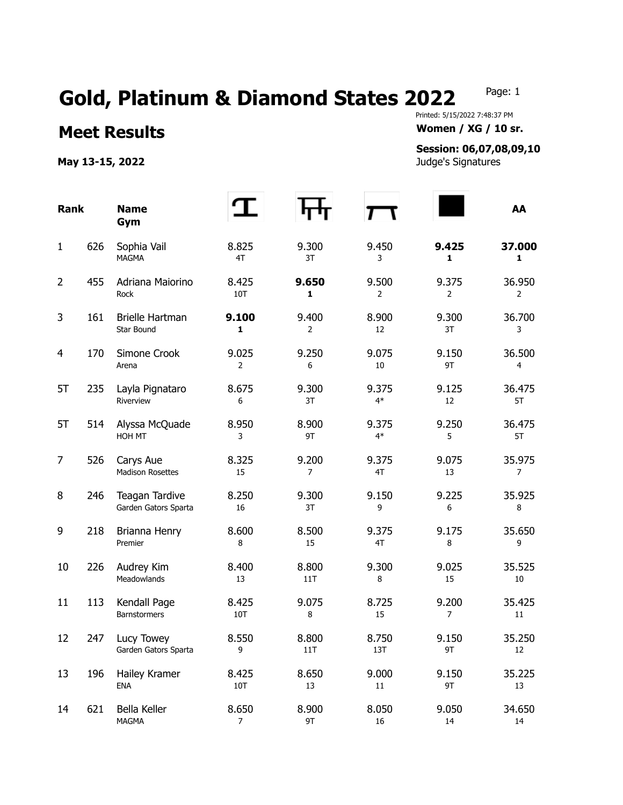## Gold, Platinum & Diamond States 2022 Page: 1

## **Meet Results Women / XG / 10 sr.**

**May 13-15, 2022** Judge's Signatures

Printed: 5/15/2022 7:48:37 PM

## **Session: 06,07,08,09,10**

| <b>Rank</b>    |     | <b>Name</b><br>Gym                     |                         |                         |                 |                         | AA               |
|----------------|-----|----------------------------------------|-------------------------|-------------------------|-----------------|-------------------------|------------------|
| $\mathbf{1}$   | 626 | Sophia Vail<br><b>MAGMA</b>            | 8.825<br>4T             | 9.300<br>3T             | 9.450<br>3      | 9.425<br>1              | 37.000<br>1      |
| $\overline{2}$ | 455 | Adriana Maiorino<br>Rock               | 8.425<br>10T            | 9.650<br>1              | 9.500<br>2      | 9.375<br>$\overline{2}$ | 36.950<br>2      |
| 3              | 161 | Brielle Hartman<br>Star Bound          | 9.100<br>1              | 9.400<br>2              | 8.900<br>12     | 9.300<br>3T             | 36.700<br>3      |
| 4              | 170 | Simone Crook<br>Arena                  | 9.025<br>$\overline{2}$ | 9.250<br>6              | 9.075<br>10     | 9.150<br>9T             | 36.500<br>4      |
| 5T             | 235 | Layla Pignataro<br>Riverview           | 8.675<br>6              | 9.300<br>3T             | 9.375<br>$4*$   | 9.125<br>12             | 36.475<br>5T     |
| 5T             | 514 | Alyssa McQuade<br>HOH MT               | 8.950<br>3              | 8.900<br>9T             | 9.375<br>$4*$   | 9.250<br>5              | 36.475<br>5T     |
| 7              | 526 | Carys Aue<br><b>Madison Rosettes</b>   | 8.325<br>15             | 9.200<br>$\overline{7}$ | 9.375<br>4T     | 9.075<br>13             | 35.975<br>7      |
| 8              | 246 | Teagan Tardive<br>Garden Gators Sparta | 8.250<br>16             | 9.300<br>3T             | 9.150<br>9      | 9.225<br>6              | 35.925<br>8      |
| 9              | 218 | Brianna Henry<br>Premier               | 8.600<br>8              | 8.500<br>15             | 9.375<br>4T     | 9.175<br>8              | 35.650<br>9      |
| 10             | 226 | Audrey Kim<br>Meadowlands              | 8.400<br>13             | 8.800<br>11T            | 9.300<br>8      | 9.025<br>15             | 35.525<br>10     |
| 11             | 113 | Kendall Page<br><b>Barnstormers</b>    | 8.425<br>10T            | 9.075<br>8              | 8.725<br>15     | 9.200<br>7              | 35.425<br>11     |
| 12             | 247 | Lucy Towey<br>Garden Gators Sparta     | 8.550<br>9              | 8.800<br>11T            | 8.750<br>13T    | 9.150<br>9T             | 35.250<br>12     |
| 13             | 196 | Hailey Kramer<br><b>ENA</b>            | 8.425<br>10T            | 8.650<br>13             | 9.000<br>11     | 9.150<br>9T             | 35.225<br>13     |
| 14             | 621 | Bella Keller<br>MAGMA                  | 8.650<br>7              | 8.900<br>9T             | 8.050<br>$16\,$ | 9.050<br>14             | 34.650<br>$14\,$ |